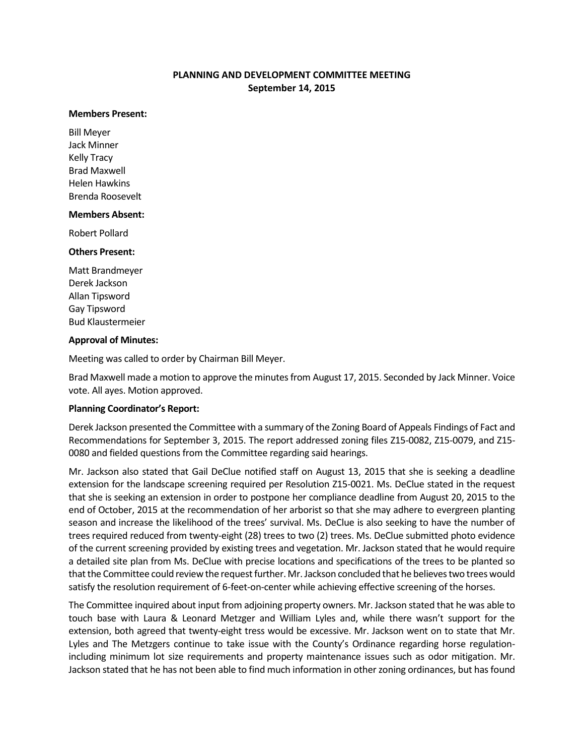# **PLANNING AND DEVELOPMENT COMMITTEE MEETING September 14, 2015**

#### **Members Present:**

Bill Meyer Jack Minner Kelly Tracy Brad Maxwell Helen Hawkins Brenda Roosevelt

### **Members Absent:**

Robert Pollard

### **Others Present:**

Matt Brandmeyer Derek Jackson Allan Tipsword Gay Tipsword Bud Klaustermeier

#### **Approval of Minutes:**

Meeting was called to order by Chairman Bill Meyer.

Brad Maxwell made a motion to approve the minutes from August 17, 2015. Seconded by Jack Minner. Voice vote. All ayes. Motion approved.

### **Planning Coordinator's Report:**

Derek Jackson presented the Committee with a summary of the Zoning Board of Appeals Findings of Fact and Recommendations for September 3, 2015. The report addressed zoning files Z15-0082, Z15-0079, and Z15- 0080 and fielded questions from the Committee regarding said hearings.

Mr. Jackson also stated that Gail DeClue notified staff on August 13, 2015 that she is seeking a deadline extension for the landscape screening required per Resolution Z15-0021. Ms. DeClue stated in the request that she is seeking an extension in order to postpone her compliance deadline from August 20, 2015 to the end of October, 2015 at the recommendation of her arborist so that she may adhere to evergreen planting season and increase the likelihood of the trees' survival. Ms. DeClue is also seeking to have the number of trees required reduced from twenty-eight (28) trees to two (2) trees. Ms. DeClue submitted photo evidence of the current screening provided by existing trees and vegetation. Mr. Jackson stated that he would require a detailed site plan from Ms. DeClue with precise locations and specifications of the trees to be planted so that the Committee could review the request further. Mr. Jackson concluded that he believes two trees would satisfy the resolution requirement of 6-feet-on-center while achieving effective screening of the horses.

The Committee inquired about input from adjoining property owners. Mr. Jackson stated that he was able to touch base with Laura & Leonard Metzger and William Lyles and, while there wasn't support for the extension, both agreed that twenty-eight tress would be excessive. Mr. Jackson went on to state that Mr. Lyles and The Metzgers continue to take issue with the County's Ordinance regarding horse regulationincluding minimum lot size requirements and property maintenance issues such as odor mitigation. Mr. Jackson stated that he has not been able to find much information in other zoning ordinances, but has found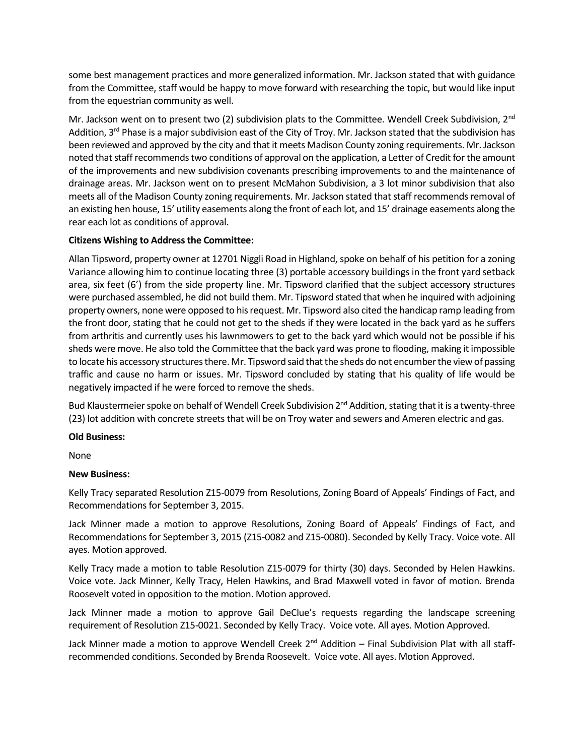some best management practices and more generalized information. Mr. Jackson stated that with guidance from the Committee, staff would be happy to move forward with researching the topic, but would like input from the equestrian community as well.

Mr. Jackson went on to present two (2) subdivision plats to the Committee. Wendell Creek Subdivision, 2<sup>nd</sup> Addition,  $3^{rd}$  Phase is a major subdivision east of the City of Troy. Mr. Jackson stated that the subdivision has been reviewed and approved by the city and that it meets Madison County zoning requirements. Mr. Jackson noted that staff recommends two conditions of approval on the application, a Letter of Credit for the amount of the improvements and new subdivision covenants prescribing improvements to and the maintenance of drainage areas. Mr. Jackson went on to present McMahon Subdivision, a 3 lot minor subdivision that also meets all of the Madison County zoning requirements. Mr. Jackson stated that staff recommends removal of an existing hen house, 15' utility easements along the front of each lot, and 15' drainage easements along the rear each lot as conditions of approval.

# **Citizens Wishing to Address the Committee:**

Allan Tipsword, property owner at 12701 Niggli Road in Highland, spoke on behalf of his petition for a zoning Variance allowing him to continue locating three (3) portable accessory buildings in the front yard setback area, six feet (6') from the side property line. Mr. Tipsword clarified that the subject accessory structures were purchased assembled, he did not build them. Mr. Tipsword stated that when he inquired with adjoining property owners, none were opposed to his request. Mr. Tipsword also cited the handicap ramp leading from the front door, stating that he could not get to the sheds if they were located in the back yard as he suffers from arthritis and currently uses his lawnmowers to get to the back yard which would not be possible if his sheds were move. He also told the Committee that the back yard was prone to flooding, making it impossible to locate his accessory structures there. Mr. Tipsword said that the sheds do not encumber the view of passing traffic and cause no harm or issues. Mr. Tipsword concluded by stating that his quality of life would be negatively impacted if he were forced to remove the sheds.

Bud Klaustermeier spoke on behalf of Wendell Creek Subdivision 2<sup>nd</sup> Addition, stating that it is a twenty-three (23) lot addition with concrete streets that will be on Troy water and sewers and Ameren electric and gas.

## **Old Business:**

None

## **New Business:**

Kelly Tracy separated Resolution Z15-0079 from Resolutions, Zoning Board of Appeals' Findings of Fact, and Recommendations for September 3, 2015.

Jack Minner made a motion to approve Resolutions, Zoning Board of Appeals' Findings of Fact, and Recommendations for September 3, 2015 (Z15-0082 and Z15-0080). Seconded by Kelly Tracy. Voice vote. All ayes. Motion approved.

Kelly Tracy made a motion to table Resolution Z15-0079 for thirty (30) days. Seconded by Helen Hawkins. Voice vote. Jack Minner, Kelly Tracy, Helen Hawkins, and Brad Maxwell voted in favor of motion. Brenda Roosevelt voted in opposition to the motion. Motion approved.

Jack Minner made a motion to approve Gail DeClue's requests regarding the landscape screening requirement of Resolution Z15-0021. Seconded by Kelly Tracy. Voice vote. All ayes. Motion Approved.

Jack Minner made a motion to approve Wendell Creek 2<sup>nd</sup> Addition – Final Subdivision Plat with all staffrecommended conditions. Seconded by Brenda Roosevelt. Voice vote. All ayes. Motion Approved.